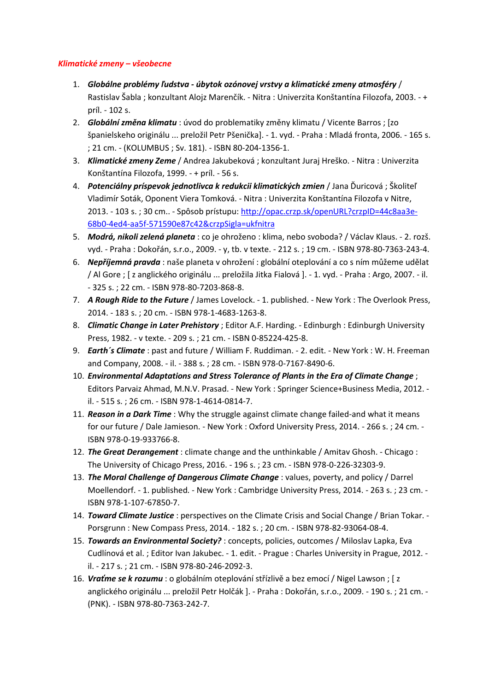## *Klimatické zmeny – všeobecne*

- 1. *Globálne problémy ľudstva - úbytok ozónovej vrstvy a klimatické zmeny atmosféry* / Rastislav Šabla ; konzultant Alojz Marenčík. - Nitra : Univerzita Konštantína Filozofa, 2003. - + príl. - 102 s.
- 2. *Globální změna klimatu* : úvod do problematiky změny klimatu / Vicente Barros ; [zo španielskeho originálu ... preložil Petr Pšenička]. - 1. vyd. - Praha : Mladá fronta, 2006. - 165 s. ; 21 cm. - (KOLUMBUS ; Sv. 181). - ISBN 80-204-1356-1.
- 3. *Klimatické zmeny Zeme* / Andrea Jakubeková ; konzultant Juraj Hreško. Nitra : Univerzita Konštantína Filozofa, 1999. - + príl. - 56 s.
- 4. *Potenciálny príspevok jednotlivca k redukcii klimatických zmien* / Jana Ďuricová ; Školiteľ Vladimír Soták, Oponent Viera Tomková. - Nitra : Univerzita Konštantína Filozofa v Nitre, 2013. - 103 s. ; 30 cm.. - Spôsob prístupu: [http://opac.crzp.sk/openURL?crzpID=44c8aa3e-](http://opac.crzp.sk/openURL?crzpID=44c8aa3e-68b0-4ed4-aa5f-571590e87c42&crzpSigla=ukfnitra)[68b0-4ed4-aa5f-571590e87c42&crzpSigla=ukfnitra](http://opac.crzp.sk/openURL?crzpID=44c8aa3e-68b0-4ed4-aa5f-571590e87c42&crzpSigla=ukfnitra)
- 5. *Modrá, nikoli zelená planeta* : co je ohroženo : klima, nebo svoboda? / Václav Klaus. 2. rozš. vyd. - Praha : Dokořán, s.r.o., 2009. - y, tb. v texte. - 212 s. ; 19 cm. - ISBN 978-80-7363-243-4.
- 6. *Nepříjemná pravda* : naše planeta v ohrožení : globální oteplování a co s ním můžeme udělat / Al Gore ; [ z anglického originálu ... preložila Jitka Fialová ]. - 1. vyd. - Praha : Argo, 2007. - il. - 325 s. ; 22 cm. - ISBN 978-80-7203-868-8.
- 7. *A Rough Ride to the Future* / James Lovelock. 1. published. New York : The Overlook Press, 2014. - 183 s. ; 20 cm. - ISBN 978-1-4683-1263-8.
- 8. **Climatic Change in Later Prehistory**; Editor A.F. Harding. Edinburgh : Edinburgh University Press, 1982. - v texte. - 209 s. ; 21 cm. - ISBN 0-85224-425-8.
- 9. *Earth´s Climate* : past and future / William F. Ruddiman. 2. edit. New York : W. H. Freeman and Company, 2008. - il. - 388 s. ; 28 cm. - ISBN 978-0-7167-8490-6.
- 10. *Environmental Adaptations and Stress Tolerance of Plants in the Era of Climate Change* ; Editors Parvaiz Ahmad, M.N.V. Prasad. - New York : Springer Science+Business Media, 2012. il. - 515 s. ; 26 cm. - ISBN 978-1-4614-0814-7.
- 11. *Reason in a Dark Time* : Why the struggle against climate change failed-and what it means for our future / Dale Jamieson. - New York : Oxford University Press, 2014. - 266 s. ; 24 cm. - ISBN 978-0-19-933766-8.
- 12. *The Great Derangement* : climate change and the unthinkable / Amitav Ghosh. Chicago : The University of Chicago Press, 2016. - 196 s. ; 23 cm. - ISBN 978-0-226-32303-9.
- 13. *The Moral Challenge of Dangerous Climate Change* : values, poverty, and policy / Darrel Moellendorf. - 1. published. - New York : Cambridge University Press, 2014. - 263 s. ; 23 cm. - ISBN 978-1-107-67850-7.
- 14. *Toward Climate Justice* : perspectives on the Climate Crisis and Social Change / Brian Tokar. Porsgrunn : New Compass Press, 2014. - 182 s. ; 20 cm. - ISBN 978-82-93064-08-4.
- 15. *Towards an Environmental Society?* : concepts, policies, outcomes / Miloslav Lapka, Eva Cudlínová et al. ; Editor Ivan Jakubec. - 1. edit. - Prague : Charles University in Prague, 2012. il. - 217 s. ; 21 cm. - ISBN 978-80-246-2092-3.
- 16. *Vraťme se k rozumu* : o globálním oteplování střízlivě a bez emocí / Nigel Lawson ; [ z anglického originálu ... preložil Petr Holčák ]. - Praha : Dokořán, s.r.o., 2009. - 190 s. ; 21 cm. - (PNK). - ISBN 978-80-7363-242-7.